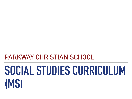# **PARKWAY CHRISTIAN SCHOOL**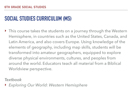‣ This course takes the students on a journey through the Western Hemisphere, in countries such as the United States, Canada, and Latin America, and also covers Europe. Using knowledge of the elements of geography, including map skills, students will be transformed into amateur geographers, equipped to explore diverse physical environments, cultures, and peoples from around the world. Educators teach all material from a Biblical Worldview perspective.

*Textbook* 

‣ *Exploring Our World: Western Hemisphere*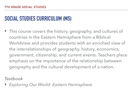‣ This course covers the history, geography, and cultures of countries in the Eastern Hemisphere from a Biblical Worldview and provides students with an enriched view of the interrelationships of geography, history, economics, government, citizenship, and current events. Teachers place emphasis on the importance of the relationship between geography and the cultural development of a nation.

*Textbook* 

‣ *Exploring Our World: Eastern Hemisphere*